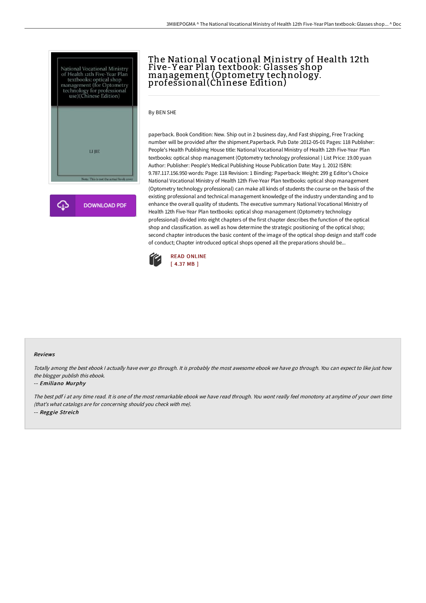



# The National Vocational Ministry of Health 12th Five-Y ear Plan textbook: Glasses shop management (Optometry technology. professional(Chinese Edition)

By BEN SHE

paperback. Book Condition: New. Ship out in 2 business day, And Fast shipping, Free Tracking number will be provided after the shipment.Paperback. Pub Date :2012-05-01 Pages: 118 Publisher: People's Health Publishing House title: National Vocational Ministry of Health 12th Five-Year Plan textbooks: optical shop management (Optometry technology professional ) List Price: 19.00 yuan Author: Publisher: People's Medical Publishing House Publication Date: May 1. 2012 ISBN: 9.787.117.156.950 words: Page: 118 Revision: 1 Binding: Paperback: Weight: 299 g Editor's Choice National Vocational Ministry of Health 12th Five-Year Plan textbooks: optical shop management (Optometry technology professional) can make all kinds of students the course on the basis of the existing professional and technical management knowledge of the industry understanding and to enhance the overall quality of students. The executive summary National Vocational Ministry of Health 12th Five-Year Plan textbooks: optical shop management (Optometry technology professional) divided into eight chapters of the first chapter describes the function of the optical shop and classification. as well as how determine the strategic positioning of the optical shop; second chapter introduces the basic content of the image of the optical shop design and staff code of conduct; Chapter introduced optical shops opened all the preparations should be...



### Reviews

Totally among the best ebook I actually have ever go through. It is probably the most awesome ebook we have go through. You can expect to like just how the blogger publish this ebook.

#### -- Emiliano Murphy

The best pdf i at any time read. It is one of the most remarkable ebook we have read through. You wont really feel monotony at anytime of your own time (that's what catalogs are for concerning should you check with me). -- Reggie Streich